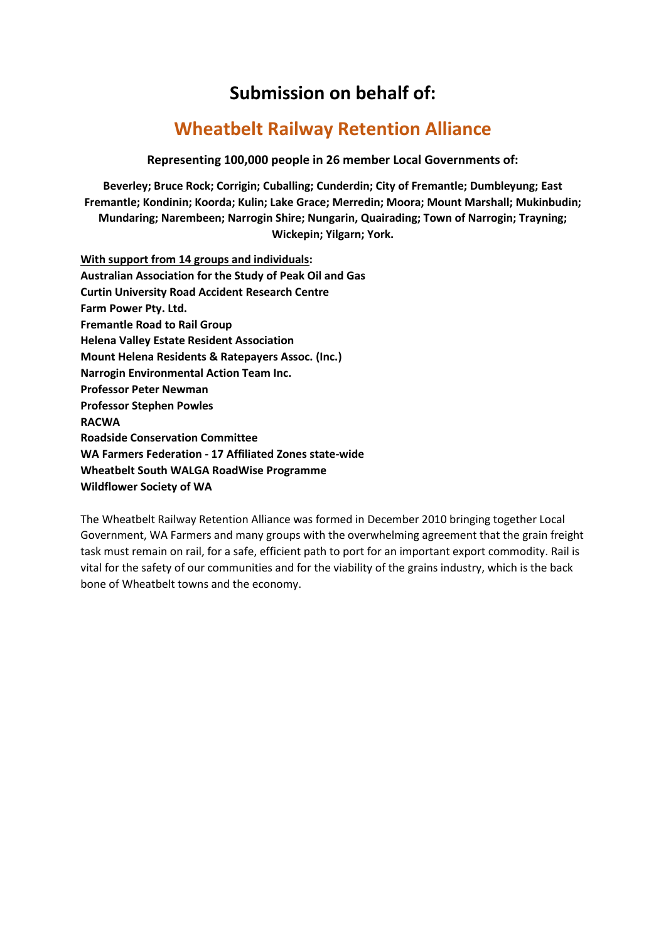# **Submission on behalf of:**

# **Wheatbelt Railway Retention Alliance**

**Representing 100,000 people in 26 member Local Governments of:**

**Beverley; Bruce Rock; Corrigin; Cuballing; Cunderdin; City of Fremantle; Dumbleyung; East Fremantle; Kondinin; Koorda; Kulin; Lake Grace; Merredin; Moora; Mount Marshall; Mukinbudin; Mundaring; Narembeen; Narrogin Shire; Nungarin, Quairading; Town of Narrogin; Trayning; Wickepin; Yilgarn; York.**

**With support from 14 groups and individuals: Australian Association for the Study of Peak Oil and Gas Curtin University Road Accident Research Centre Farm Power Pty. Ltd. Fremantle Road to Rail Group Helena Valley Estate Resident Association Mount Helena Residents & Ratepayers Assoc. (Inc.) Narrogin Environmental Action Team Inc. Professor Peter Newman Professor Stephen Powles RACWA Roadside Conservation Committee WA Farmers Federation - 17 Affiliated Zones state-wide Wheatbelt South WALGA RoadWise Programme Wildflower Society of WA**

The Wheatbelt Railway Retention Alliance was formed in December 2010 bringing together Local Government, WA Farmers and many groups with the overwhelming agreement that the grain freight task must remain on rail, for a safe, efficient path to port for an important export commodity. Rail is vital for the safety of our communities and for the viability of the grains industry, which is the back bone of Wheatbelt towns and the economy.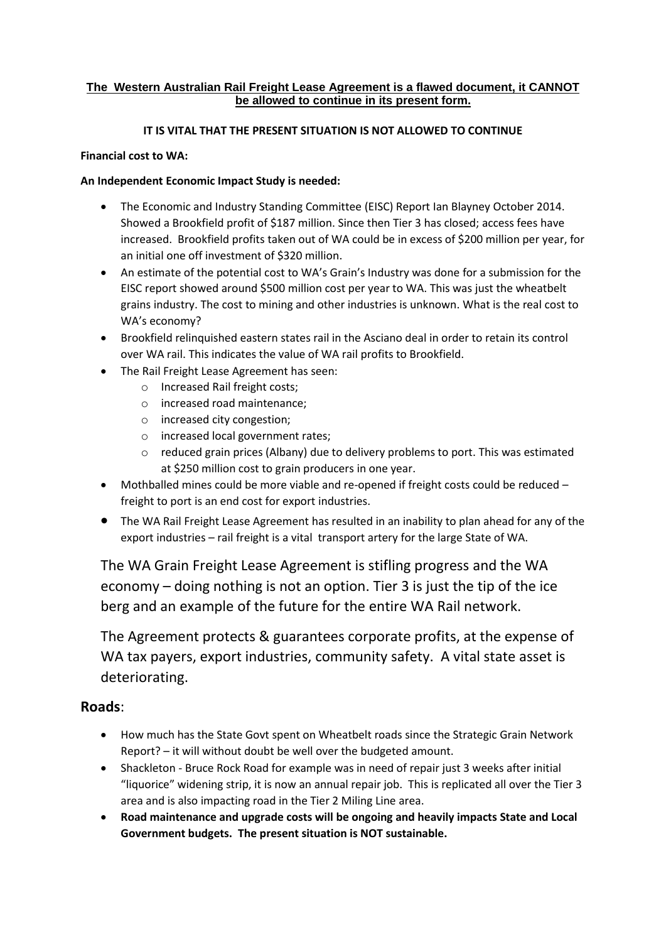#### **The Western Australian Rail Freight Lease Agreement is a flawed document, it CANNOT be allowed to continue in its present form.**

### **IT IS VITAL THAT THE PRESENT SITUATION IS NOT ALLOWED TO CONTINUE**

### **Financial cost to WA:**

### **An Independent Economic Impact Study is needed:**

- The Economic and Industry Standing Committee (EISC) Report Ian Blayney October 2014. Showed a Brookfield profit of \$187 million. Since then Tier 3 has closed; access fees have increased. Brookfield profits taken out of WA could be in excess of \$200 million per year, for an initial one off investment of \$320 million.
- An estimate of the potential cost to WA's Grain's Industry was done for a submission for the EISC report showed around \$500 million cost per year to WA. This was just the wheatbelt grains industry. The cost to mining and other industries is unknown. What is the real cost to WA's economy?
- Brookfield relinquished eastern states rail in the Asciano deal in order to retain its control over WA rail. This indicates the value of WA rail profits to Brookfield.
- The Rail Freight Lease Agreement has seen:
	- o Increased Rail freight costs;
	- o increased road maintenance;
	- o increased city congestion;
	- o increased local government rates;
	- o reduced grain prices (Albany) due to delivery problems to port. This was estimated at \$250 million cost to grain producers in one year.
- Mothballed mines could be more viable and re-opened if freight costs could be reduced freight to port is an end cost for export industries.
- The WA Rail Freight Lease Agreement has resulted in an inability to plan ahead for any of the export industries – rail freight is a vital transport artery for the large State of WA.

The WA Grain Freight Lease Agreement is stifling progress and the WA economy – doing nothing is not an option. Tier 3 is just the tip of the ice berg and an example of the future for the entire WA Rail network.

The Agreement protects & guarantees corporate profits, at the expense of WA tax payers, export industries, community safety. A vital state asset is deteriorating.

## **Roads**:

- How much has the State Govt spent on Wheatbelt roads since the Strategic Grain Network Report? – it will without doubt be well over the budgeted amount.
- Shackleton Bruce Rock Road for example was in need of repair just 3 weeks after initial "liquorice" widening strip, it is now an annual repair job. This is replicated all over the Tier 3 area and is also impacting road in the Tier 2 Miling Line area.
- **Road maintenance and upgrade costs will be ongoing and heavily impacts State and Local Government budgets. The present situation is NOT sustainable.**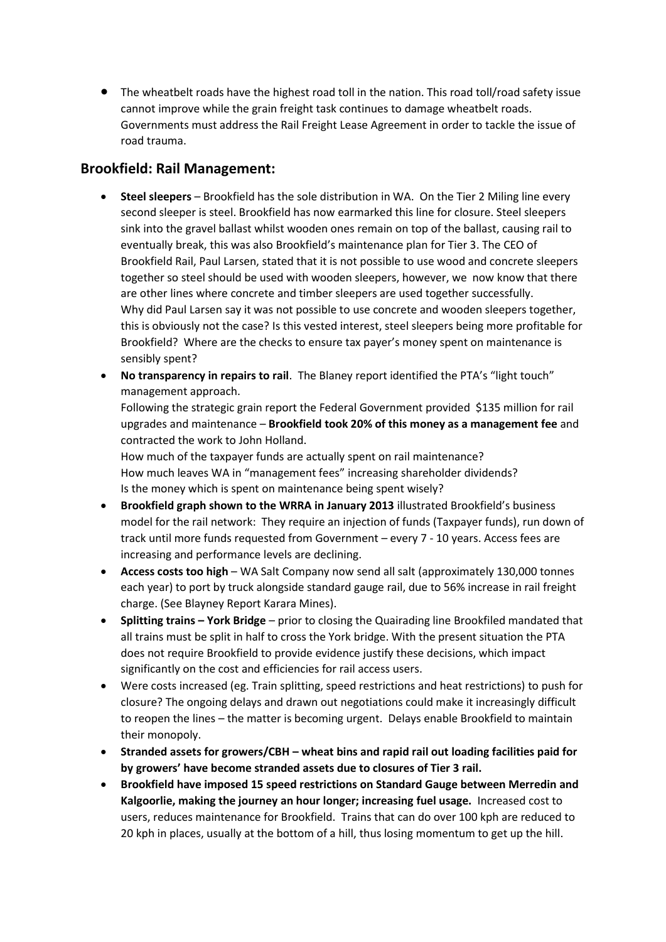The wheatbelt roads have the highest road toll in the nation. This road toll/road safety issue cannot improve while the grain freight task continues to damage wheatbelt roads. Governments must address the Rail Freight Lease Agreement in order to tackle the issue of road trauma.

## **Brookfield: Rail Management:**

- **Steel sleepers** Brookfield has the sole distribution in WA. On the Tier 2 Miling line every second sleeper is steel. Brookfield has now earmarked this line for closure. Steel sleepers sink into the gravel ballast whilst wooden ones remain on top of the ballast, causing rail to eventually break, this was also Brookfield's maintenance plan for Tier 3. The CEO of Brookfield Rail, Paul Larsen, stated that it is not possible to use wood and concrete sleepers together so steel should be used with wooden sleepers, however, we now know that there are other lines where concrete and timber sleepers are used together successfully. Why did Paul Larsen say it was not possible to use concrete and wooden sleepers together, this is obviously not the case? Is this vested interest, steel sleepers being more profitable for Brookfield? Where are the checks to ensure tax payer's money spent on maintenance is sensibly spent?
- **No transparency in repairs to rail**. The Blaney report identified the PTA's "light touch" management approach.

Following the strategic grain report the Federal Government provided \$135 million for rail upgrades and maintenance – **Brookfield took 20% of this money as a management fee** and contracted the work to John Holland.

How much of the taxpayer funds are actually spent on rail maintenance? How much leaves WA in "management fees" increasing shareholder dividends? Is the money which is spent on maintenance being spent wisely?

- **Brookfield graph shown to the WRRA in January 2013** illustrated Brookfield's business model for the rail network: They require an injection of funds (Taxpayer funds), run down of track until more funds requested from Government – every 7 - 10 years. Access fees are increasing and performance levels are declining.
- **Access costs too high** WA Salt Company now send all salt (approximately 130,000 tonnes each year) to port by truck alongside standard gauge rail, due to 56% increase in rail freight charge. (See Blayney Report Karara Mines).
- **Splitting trains – York Bridge**  prior to closing the Quairading line Brookfiled mandated that all trains must be split in half to cross the York bridge. With the present situation the PTA does not require Brookfield to provide evidence justify these decisions, which impact significantly on the cost and efficiencies for rail access users.
- Were costs increased (eg. Train splitting, speed restrictions and heat restrictions) to push for closure? The ongoing delays and drawn out negotiations could make it increasingly difficult to reopen the lines – the matter is becoming urgent. Delays enable Brookfield to maintain their monopoly.
- **Stranded assets for growers/CBH – wheat bins and rapid rail out loading facilities paid for by growers' have become stranded assets due to closures of Tier 3 rail.**
- **Brookfield have imposed 15 speed restrictions on Standard Gauge between Merredin and Kalgoorlie, making the journey an hour longer; increasing fuel usage.** Increased cost to users, reduces maintenance for Brookfield. Trains that can do over 100 kph are reduced to 20 kph in places, usually at the bottom of a hill, thus losing momentum to get up the hill.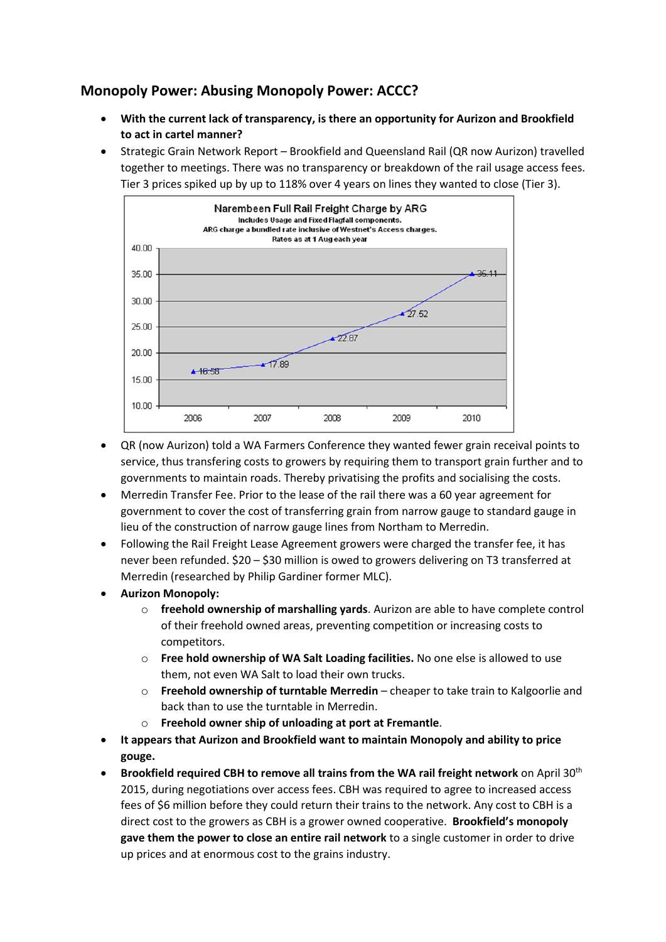# **Monopoly Power: Abusing Monopoly Power: ACCC?**

- **With the current lack of transparency, is there an opportunity for Aurizon and Brookfield to act in cartel manner?**
- Strategic Grain Network Report Brookfield and Queensland Rail (QR now Aurizon) travelled together to meetings. There was no transparency or breakdown of the rail usage access fees. Tier 3 prices spiked up by up to 118% over 4 years on lines they wanted to close (Tier 3).



- QR (now Aurizon) told a WA Farmers Conference they wanted fewer grain receival points to service, thus transfering costs to growers by requiring them to transport grain further and to governments to maintain roads. Thereby privatising the profits and socialising the costs.
- Merredin Transfer Fee. Prior to the lease of the rail there was a 60 year agreement for government to cover the cost of transferring grain from narrow gauge to standard gauge in lieu of the construction of narrow gauge lines from Northam to Merredin.
- Following the Rail Freight Lease Agreement growers were charged the transfer fee, it has never been refunded. \$20 – \$30 million is owed to growers delivering on T3 transferred at Merredin (researched by Philip Gardiner former MLC).
- **Aurizon Monopoly:** 
	- o **freehold ownership of marshalling yards**. Aurizon are able to have complete control of their freehold owned areas, preventing competition or increasing costs to competitors.
	- o **Free hold ownership of WA Salt Loading facilities.** No one else is allowed to use them, not even WA Salt to load their own trucks.
	- o **Freehold ownership of turntable Merredin** cheaper to take train to Kalgoorlie and back than to use the turntable in Merredin.
	- o **Freehold owner ship of unloading at port at Fremantle**.
- **It appears that Aurizon and Brookfield want to maintain Monopoly and ability to price gouge.**
- **•** Brookfield required CBH to remove all trains from the WA rail freight network on April 30<sup>th</sup> 2015, during negotiations over access fees. CBH was required to agree to increased access fees of \$6 million before they could return their trains to the network. Any cost to CBH is a direct cost to the growers as CBH is a grower owned cooperative. **Brookfield's monopoly gave them the power to close an entire rail network** to a single customer in order to drive up prices and at enormous cost to the grains industry.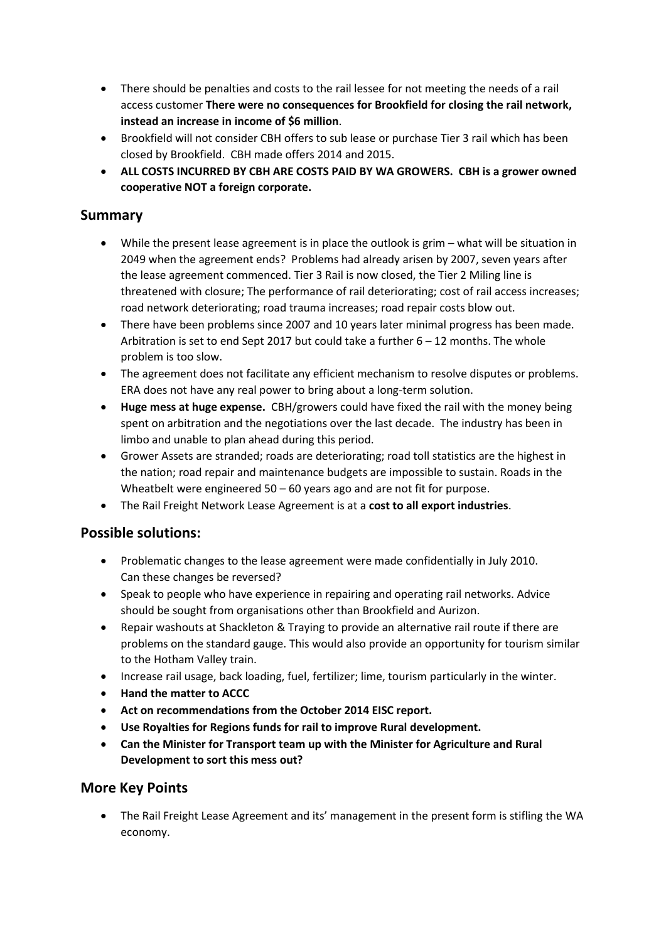- There should be penalties and costs to the rail lessee for not meeting the needs of a rail access customer **There were no consequences for Brookfield for closing the rail network, instead an increase in income of \$6 million**.
- Brookfield will not consider CBH offers to sub lease or purchase Tier 3 rail which has been closed by Brookfield. CBH made offers 2014 and 2015.
- **ALL COSTS INCURRED BY CBH ARE COSTS PAID BY WA GROWERS. CBH is a grower owned cooperative NOT a foreign corporate.**

### **Summary**

- While the present lease agreement is in place the outlook is grim what will be situation in 2049 when the agreement ends? Problems had already arisen by 2007, seven years after the lease agreement commenced. Tier 3 Rail is now closed, the Tier 2 Miling line is threatened with closure; The performance of rail deteriorating; cost of rail access increases; road network deteriorating; road trauma increases; road repair costs blow out.
- There have been problems since 2007 and 10 years later minimal progress has been made. Arbitration is set to end Sept 2017 but could take a further  $6 - 12$  months. The whole problem is too slow.
- The agreement does not facilitate any efficient mechanism to resolve disputes or problems. ERA does not have any real power to bring about a long-term solution.
- **Huge mess at huge expense.** CBH/growers could have fixed the rail with the money being spent on arbitration and the negotiations over the last decade. The industry has been in limbo and unable to plan ahead during this period.
- Grower Assets are stranded; roads are deteriorating; road toll statistics are the highest in the nation; road repair and maintenance budgets are impossible to sustain. Roads in the Wheatbelt were engineered 50 – 60 years ago and are not fit for purpose.
- The Rail Freight Network Lease Agreement is at a **cost to all export industries**.

## **Possible solutions:**

- Problematic changes to the lease agreement were made confidentially in July 2010. Can these changes be reversed?
- Speak to people who have experience in repairing and operating rail networks. Advice should be sought from organisations other than Brookfield and Aurizon.
- Repair washouts at Shackleton & Traying to provide an alternative rail route if there are problems on the standard gauge. This would also provide an opportunity for tourism similar to the Hotham Valley train.
- Increase rail usage, back loading, fuel, fertilizer; lime, tourism particularly in the winter.
- **Hand the matter to ACCC**
- **Act on recommendations from the October 2014 EISC report.**
- **Use Royalties for Regions funds for rail to improve Rural development.**
- **Can the Minister for Transport team up with the Minister for Agriculture and Rural Development to sort this mess out?**

### **More Key Points**

 The Rail Freight Lease Agreement and its' management in the present form is stifling the WA economy.